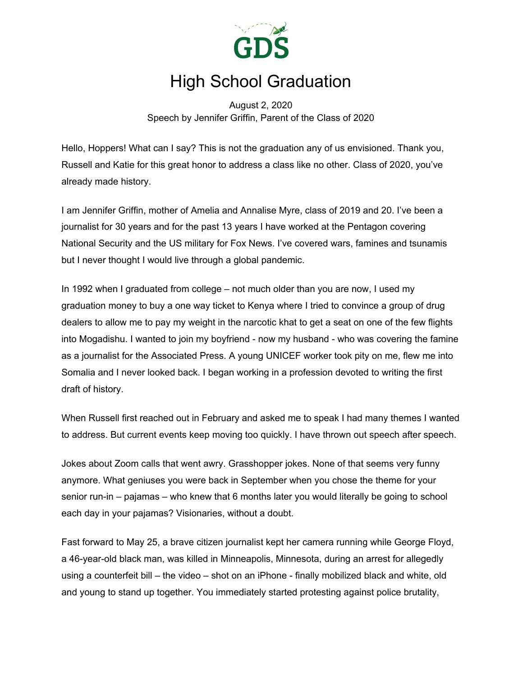

## High School Graduation

August 2, 2020 Speech by Jennifer Griffin, Parent of the Class of 2020

Hello, Hoppers! What can I say? This is not the graduation any of us envisioned. Thank you, Russell and Katie for this great honor to address a class like no other. Class of 2020, you've already made history.

I am Jennifer Griffin, mother of Amelia and Annalise Myre, class of 2019 and 20. I've been a journalist for 30 years and for the past 13 years I have worked at the Pentagon covering National Security and the US military for Fox News. I've covered wars, famines and tsunamis but I never thought I would live through a global pandemic.

In 1992 when I graduated from college – not much older than you are now, I used my graduation money to buy a one way ticket to Kenya where I tried to convince a group of drug dealers to allow me to pay my weight in the narcotic khat to get a seat on one of the few flights into Mogadishu. I wanted to join my boyfriend - now my husband - who was covering the famine as a journalist for the Associated Press. A young UNICEF worker took pity on me, flew me into Somalia and I never looked back. I began working in a profession devoted to writing the first draft of history.

When Russell first reached out in February and asked me to speak I had many themes I wanted to address. But current events keep moving too quickly. I have thrown out speech after speech.

Jokes about Zoom calls that went awry. Grasshopper jokes. None of that seems very funny anymore. What geniuses you were back in September when you chose the theme for your senior run-in – pajamas – who knew that 6 months later you would literally be going to school each day in your pajamas? Visionaries, without a doubt.

Fast forward to May 25, a brave citizen journalist kept her camera running while George Floyd, a 46-year-old black man, was killed in Minneapolis, Minnesota, during an arrest for allegedly using a counterfeit bill – the video – shot on an iPhone - finally mobilized black and white, old and young to stand up together. You immediately started protesting against police brutality,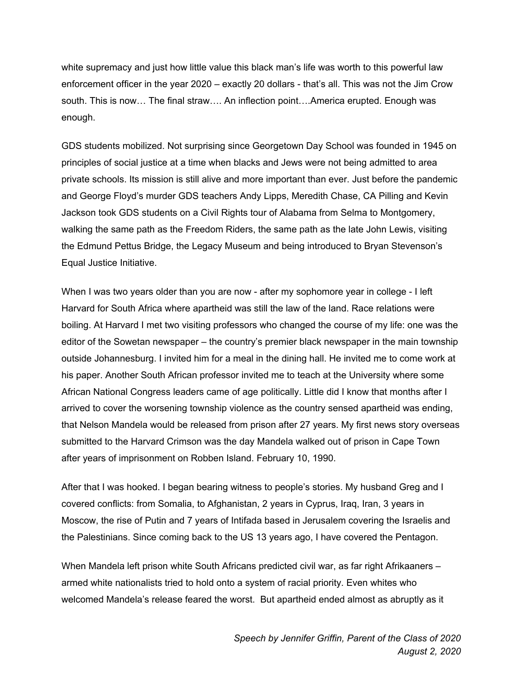white supremacy and just how little value this black man's life was worth to this powerful law enforcement officer in the year 2020 – exactly 20 dollars - that's all. This was not the Jim Crow south. This is now… The final straw…. An inflection point….America erupted. Enough was enough.

GDS students mobilized. Not surprising since Georgetown Day School was founded in 1945 on principles of social justice at a time when blacks and Jews were not being admitted to area private schools. Its mission is still alive and more important than ever. Just before the pandemic and George Floyd's murder GDS teachers Andy Lipps, Meredith Chase, CA Pilling and Kevin Jackson took GDS students on a Civil Rights tour of Alabama from Selma to Montgomery, walking the same path as the Freedom Riders, the same path as the late John Lewis, visiting the Edmund Pettus Bridge, the Legacy Museum and being introduced to Bryan Stevenson's Equal Justice Initiative.

When I was two years older than you are now - after my sophomore year in college - I left Harvard for South Africa where apartheid was still the law of the land. Race relations were boiling. At Harvard I met two visiting professors who changed the course of my life: one was the editor of the Sowetan newspaper – the country's premier black newspaper in the main township outside Johannesburg. I invited him for a meal in the dining hall. He invited me to come work at his paper. Another South African professor invited me to teach at the University where some African National Congress leaders came of age politically. Little did I know that months after I arrived to cover the worsening township violence as the country sensed apartheid was ending, that Nelson Mandela would be released from prison after 27 years. My first news story overseas submitted to the Harvard Crimson was the day Mandela walked out of prison in Cape Town after years of imprisonment on Robben Island. February 10, 1990.

After that I was hooked. I began bearing witness to people's stories. My husband Greg and I covered conflicts: from Somalia, to Afghanistan, 2 years in Cyprus, Iraq, Iran, 3 years in Moscow, the rise of Putin and 7 years of Intifada based in Jerusalem covering the Israelis and the Palestinians. Since coming back to the US 13 years ago, I have covered the Pentagon.

When Mandela left prison white South Africans predicted civil war, as far right Afrikaaners – armed white nationalists tried to hold onto a system of racial priority. Even whites who welcomed Mandela's release feared the worst. But apartheid ended almost as abruptly as it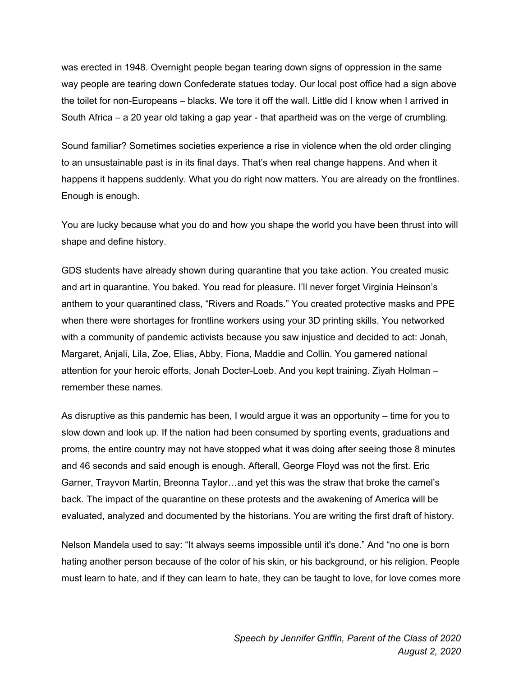was erected in 1948. Overnight people began tearing down signs of oppression in the same way people are tearing down Confederate statues today. Our local post office had a sign above the toilet for non-Europeans – blacks. We tore it off the wall. Little did I know when I arrived in South Africa – a 20 year old taking a gap year - that apartheid was on the verge of crumbling.

Sound familiar? Sometimes societies experience a rise in violence when the old order clinging to an unsustainable past is in its final days. That's when real change happens. And when it happens it happens suddenly. What you do right now matters. You are already on the frontlines. Enough is enough.

You are lucky because what you do and how you shape the world you have been thrust into will shape and define history.

GDS students have already shown during quarantine that you take action. You created music and art in quarantine. You baked. You read for pleasure. I'll never forget Virginia Heinson's anthem to your quarantined class, "Rivers and Roads." You created protective masks and PPE when there were shortages for frontline workers using your 3D printing skills. You networked with a community of pandemic activists because you saw injustice and decided to act: Jonah, Margaret, Anjali, Lila, Zoe, Elias, Abby, Fiona, Maddie and Collin. You garnered national attention for your heroic efforts, Jonah Docter-Loeb. And you kept training. Ziyah Holman – remember these names.

As disruptive as this pandemic has been, I would argue it was an opportunity – time for you to slow down and look up. If the nation had been consumed by sporting events, graduations and proms, the entire country may not have stopped what it was doing after seeing those 8 minutes and 46 seconds and said enough is enough. Afterall, George Floyd was not the first. Eric Garner, Trayvon Martin, Breonna Taylor…and yet this was the straw that broke the camel's back. The impact of the quarantine on these protests and the awakening of America will be evaluated, analyzed and documented by the historians. You are writing the first draft of history.

Nelson Mandela used to say: "It always seems impossible until it's done." And "no one is born hating another person because of the color of his skin, or his background, or his religion. People must learn to hate, and if they can learn to hate, they can be taught to love, for love comes more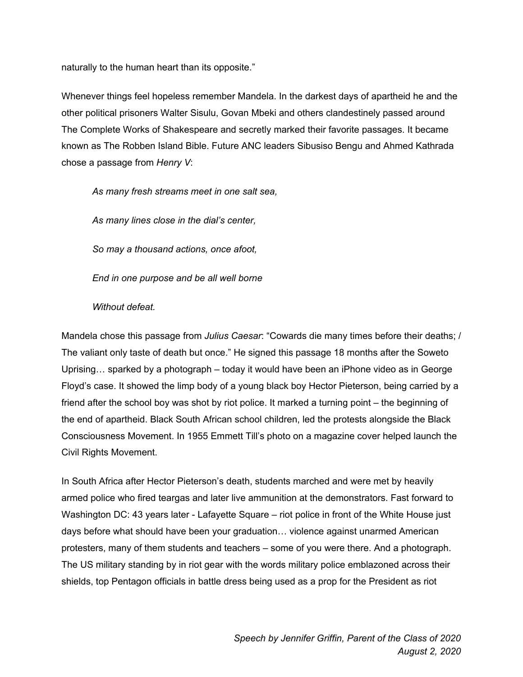naturally to the human heart than its opposite."

Whenever things feel hopeless remember Mandela. In the darkest days of apartheid he and the other political prisoners Walter Sisulu, Govan Mbeki and others clandestinely passed around The Complete Works of Shakespeare and secretly marked their favorite passages. It became known as The Robben Island Bible. Future ANC leaders Sibusiso Bengu and Ahmed Kathrada chose a passage from *Henry V*:

*As many fresh streams meet in one salt sea,*

*As many lines close in the dial's center,*

*So may a thousand actions, once afoot,*

*End in one purpose and be all well borne*

## *Without defeat.*

Mandela chose this passage from *Julius Caesar*: "Cowards die many times before their deaths; / The valiant only taste of death but once." He signed this passage 18 months after the Soweto Uprising… sparked by a photograph – today it would have been an iPhone video as in George Floyd's case. It showed the limp body of a young black boy Hector Pieterson, being carried by a friend after the school boy was shot by riot police. It marked a turning point – the beginning of the end of apartheid. Black South African school children, led the protests alongside the Black Consciousness Movement. In 1955 Emmett Till's photo on a magazine cover helped launch the Civil Rights Movement.

In South Africa after Hector Pieterson's death, students marched and were met by heavily armed police who fired teargas and later live ammunition at the demonstrators. Fast forward to Washington DC: 43 years later - Lafayette Square – riot police in front of the White House just days before what should have been your graduation… violence against unarmed American protesters, many of them students and teachers – some of you were there. And a photograph. The US military standing by in riot gear with the words military police emblazoned across their shields, top Pentagon officials in battle dress being used as a prop for the President as riot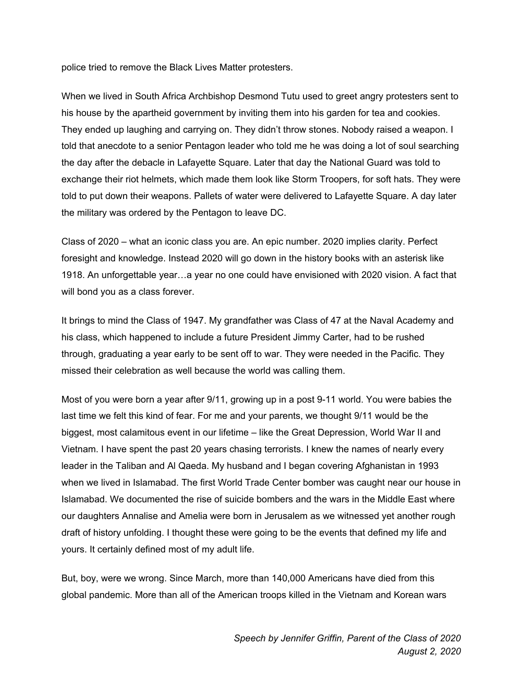police tried to remove the Black Lives Matter protesters.

When we lived in South Africa Archbishop Desmond Tutu used to greet angry protesters sent to his house by the apartheid government by inviting them into his garden for tea and cookies. They ended up laughing and carrying on. They didn't throw stones. Nobody raised a weapon. I told that anecdote to a senior Pentagon leader who told me he was doing a lot of soul searching the day after the debacle in Lafayette Square. Later that day the National Guard was told to exchange their riot helmets, which made them look like Storm Troopers, for soft hats. They were told to put down their weapons. Pallets of water were delivered to Lafayette Square. A day later the military was ordered by the Pentagon to leave DC.

Class of 2020 – what an iconic class you are. An epic number. 2020 implies clarity. Perfect foresight and knowledge. Instead 2020 will go down in the history books with an asterisk like 1918. An unforgettable year…a year no one could have envisioned with 2020 vision. A fact that will bond you as a class forever.

It brings to mind the Class of 1947. My grandfather was Class of 47 at the Naval Academy and his class, which happened to include a future President Jimmy Carter, had to be rushed through, graduating a year early to be sent off to war. They were needed in the Pacific. They missed their celebration as well because the world was calling them.

Most of you were born a year after 9/11, growing up in a post 9-11 world. You were babies the last time we felt this kind of fear. For me and your parents, we thought 9/11 would be the biggest, most calamitous event in our lifetime – like the Great Depression, World War II and Vietnam. I have spent the past 20 years chasing terrorists. I knew the names of nearly every leader in the Taliban and Al Qaeda. My husband and I began covering Afghanistan in 1993 when we lived in Islamabad. The first World Trade Center bomber was caught near our house in Islamabad. We documented the rise of suicide bombers and the wars in the Middle East where our daughters Annalise and Amelia were born in Jerusalem as we witnessed yet another rough draft of history unfolding. I thought these were going to be the events that defined my life and yours. It certainly defined most of my adult life.

But, boy, were we wrong. Since March, more than 140,000 Americans have died from this global pandemic. More than all of the American troops killed in the Vietnam and Korean wars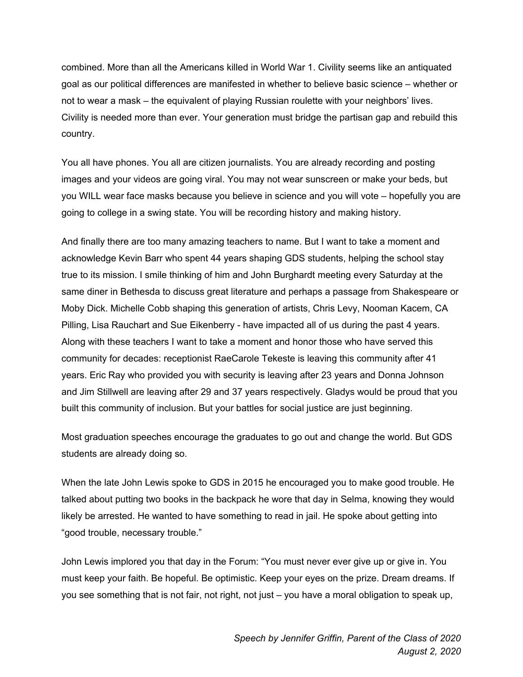combined. More than all the Americans killed in World War 1. Civility seems like an antiquated goal as our political differences are manifested in whether to believe basic science – whether or not to wear a mask – the equivalent of playing Russian roulette with your neighbors' lives. Civility is needed more than ever. Your generation must bridge the partisan gap and rebuild this country.

You all have phones. You all are citizen journalists. You are already recording and posting images and your videos are going viral. You may not wear sunscreen or make your beds, but you WILL wear face masks because you believe in science and you will vote – hopefully you are going to college in a swing state. You will be recording history and making history.

And finally there are too many amazing teachers to name. But I want to take a moment and acknowledge Kevin Barr who spent 44 years shaping GDS students, helping the school stay true to its mission. I smile thinking of him and John Burghardt meeting every Saturday at the same diner in Bethesda to discuss great literature and perhaps a passage from Shakespeare or Moby Dick. Michelle Cobb shaping this generation of artists, Chris Levy, Nooman Kacem, CA Pilling, Lisa Rauchart and Sue Eikenberry - have impacted all of us during the past 4 years. Along with these teachers I want to take a moment and honor those who have served this community for decades: receptionist RaeCarole Tekeste is leaving this community after 41 years. Eric Ray who provided you with security is leaving after 23 years and Donna Johnson and Jim Stillwell are leaving after 29 and 37 years respectively. Gladys would be proud that you built this community of inclusion. But your battles for social justice are just beginning.

Most graduation speeches encourage the graduates to go out and change the world. But GDS students are already doing so.

When the late John Lewis spoke to GDS in 2015 he encouraged you to make good trouble. He talked about putting two books in the backpack he wore that day in Selma, knowing they would likely be arrested. He wanted to have something to read in jail. He spoke about getting into "good trouble, necessary trouble."

John Lewis implored you that day in the Forum: "You must never ever give up or give in. You must keep your faith. Be hopeful. Be optimistic. Keep your eyes on the prize. Dream dreams. If you see something that is not fair, not right, not just – you have a moral obligation to speak up,